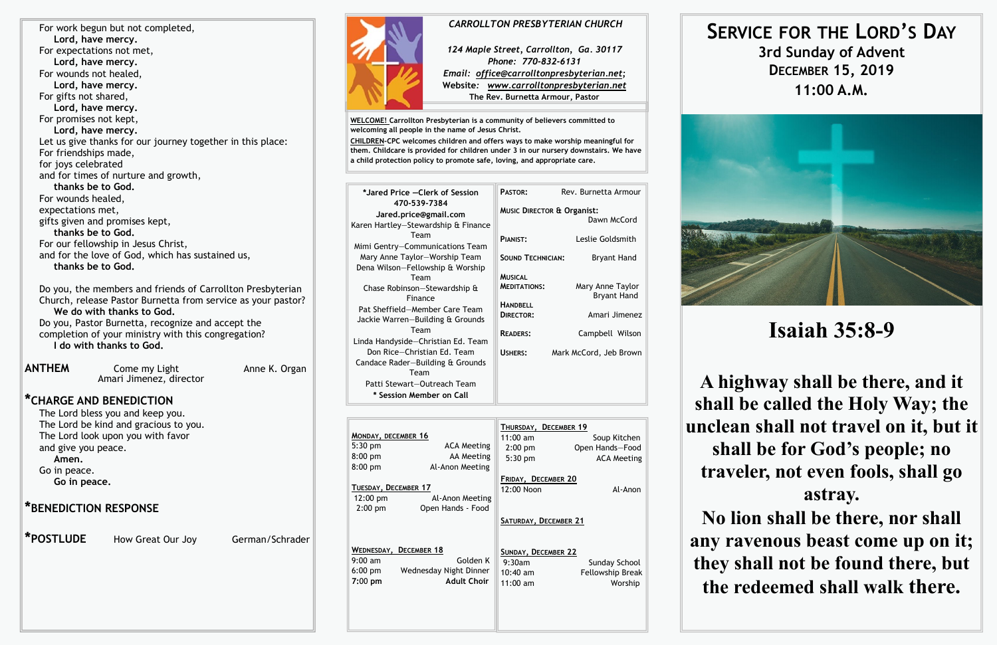For work begun but not completed, **Lord, have mercy.** For expectations not met, **Lord, have mercy.** For wounds not healed, **Lord, have mercy.** For gifts not shared, **Lord, have mercy.** For promises not kept, **Lord, have mercy.** Let us give thanks for our journey together in this place: For friendships made, for joys celebrated and for times of nurture and growth, **thanks be to God.** For wounds healed, expectations met, gifts given and promises kept, **thanks be to God.** For our fellowship in Jesus Christ, and for the love of God, which has sustained us, **thanks be to God.**

**ANTHEM** Come my Light **Anne K. Organ** Amari Jimenez, director

Do you, the members and friends of Carrollton Presbyterian Church, release Pastor Burnetta from service as your pastor? **We do with thanks to God.** Do you, Pastor Burnetta, recognize and accept the completion of your ministry with this congregation? **I do with thanks to God.**

### **\*CHARGE AND BENEDICTION**

The Lord bless you and keep you. The Lord be kind and gracious to you. The Lord look upon you with favor and give you peace.

**Amen.**

Go in peace.

**Go in peace.**

### **\*BENEDICTION RESPONSE**

 **\*POSTLUDE** How Great Our Joy German/Schrader



**7:**00 **pm Adult Choir**



11:00 am Worship

**WELCOME! Carrollton Presbyterian is a community of believers committed to welcoming all people in the name of Jesus Christ.**

**CHILDREN-CPC welcomes children and offers ways to make worship meaningful for them. Childcare is provided for children under 3 in our nursery downstairs. We have a child protection policy to promote safe, loving, and appropriate care.** 

| *Jared Price - Clerk of Session                                                                                    | PASTOR:<br>Rev. Burnetta Armour                                                                                                         |  |  |
|--------------------------------------------------------------------------------------------------------------------|-----------------------------------------------------------------------------------------------------------------------------------------|--|--|
| 470-539-7384<br>Jared.price@gmail.com                                                                              | <b>MUSIC DIRECTOR &amp; Organist:</b><br>Dawn McCord                                                                                    |  |  |
| Karen Hartley-Stewardship & Finance<br>Team<br>Mimi Gentry-Communications Team                                     | Leslie Goldsmith<br>PIANIST:                                                                                                            |  |  |
| Mary Anne Taylor-Worship Team<br>Dena Wilson-Fellowship & Worship                                                  | <b>SOUND TECHNICIAN:</b><br><b>Bryant Hand</b>                                                                                          |  |  |
| Team<br>Chase Robinson-Stewardship &<br>Finance<br>Pat Sheffield-Member Care Team                                  | <b>MUSICAL</b><br>Mary Anne Taylor<br><b>MEDITATIONS:</b><br><b>Bryant Hand</b><br><b>HANDBELL</b><br>Amari Jimenez<br><b>DIRECTOR:</b> |  |  |
| Jackie Warren-Building & Grounds<br>Team                                                                           | <b>READERS:</b><br>Campbell Wilson                                                                                                      |  |  |
| Linda Handyside-Christian Ed. Team<br>Don Rice-Christian Ed. Team<br>Candace Rader-Building & Grounds              | <b>USHERS:</b><br>Mark McCord, Jeb Brown                                                                                                |  |  |
| Team<br>Patti Stewart-Outreach Team<br>* Session Member on Call                                                    |                                                                                                                                         |  |  |
|                                                                                                                    |                                                                                                                                         |  |  |
| MONDAY, DECEMBER 16<br>5:30 pm<br><b>ACA Meeting</b><br>8:00 pm<br><b>AA Meeting</b><br>Al-Anon Meeting<br>8:00 pm | THURSDAY, DECEMBER 19<br>$11:00$ am<br>Soup Kitchen<br>Open Hands-Food<br>$2:00$ pm<br>5:30 pm<br><b>ACA Meeting</b>                    |  |  |
| TUESDAY, DECEMBER 17<br>12:00 pm<br>Al-Anon Meeting                                                                | FRIDAY, DECEMBER 20<br>12:00 Noon<br>Al-Anon                                                                                            |  |  |
| Open Hands - Food<br>$2:00$ pm                                                                                     | SATURDAY, DECEMBER 21                                                                                                                   |  |  |
| WEDNESDAY, DECEMBER 18<br>$9:00$ am<br>Golden K<br>Wednesday Night Dinner<br>$6:00$ pm                             | <b>SUNDAY, DECEMBER 22</b><br>9:30am<br>Sunday School<br>10:40 am<br><b>Fellowship Break</b>                                            |  |  |

# **SERVICE FOR THE LORD'S DAY 3rd Sunday of Advent DECEMBER 15, 2019 11:00 A.M.**

# **Isaiah 35:8-9**

**A highway shall be there, and it shall be called the Holy Way; the unclean shall not travel on it, but it shall be for God's people; no traveler, not even fools, shall go astray.**

**No lion shall be there, nor shall any ravenous beast come up on it; they shall not be found there, but the redeemed shall walk there.**

### *CARROLLTON PRESBYTERIAN CHURCH*

*124 Maple Street, Carrollton, Ga. 30117 Phone: 770-832-6131 Email: office@carrolltonpresbyterian.net;* **Website***: www.carrolltonpresbyterian.net* **The Rev. Burnetta Armour, Pastor**